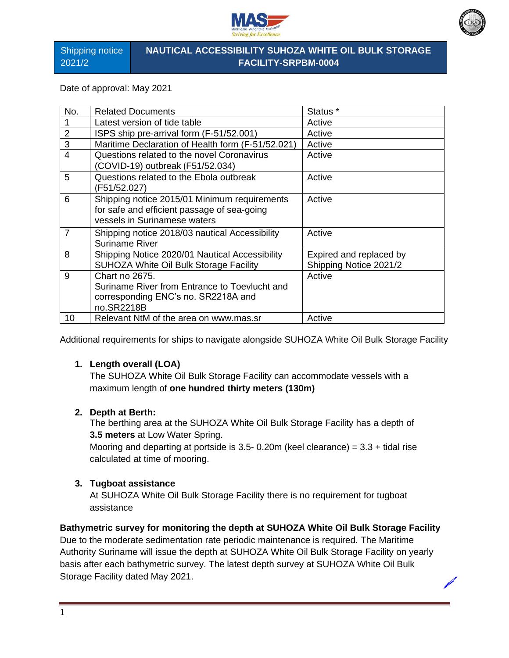



Shipping notice 2021/2

## **NAUTICAL ACCESSIBILITY SUHOZA WHITE OIL BULK STORAGE FACILITY-SRPBM-0004**

Date of approval: May 2021

| No.            | <b>Related Documents</b>                          | Status <sup>*</sup>     |
|----------------|---------------------------------------------------|-------------------------|
|                | Latest version of tide table                      | Active                  |
| $\overline{2}$ | ISPS ship pre-arrival form (F-51/52.001)          | Active                  |
| 3              | Maritime Declaration of Health form (F-51/52.021) | Active                  |
| $\overline{4}$ | Questions related to the novel Coronavirus        | Active                  |
|                | (COVID-19) outbreak (F51/52.034)                  |                         |
| 5              | Questions related to the Ebola outbreak           | Active                  |
|                | (F51/52.027)                                      |                         |
| 6              | Shipping notice 2015/01 Minimum requirements      | Active                  |
|                | for safe and efficient passage of sea-going       |                         |
|                | vessels in Surinamese waters                      |                         |
| $\overline{7}$ | Shipping notice 2018/03 nautical Accessibility    | Active                  |
|                | <b>Suriname River</b>                             |                         |
| 8              | Shipping Notice 2020/01 Nautical Accessibility    | Expired and replaced by |
|                | SUHOZA White Oil Bulk Storage Facility            | Shipping Notice 2021/2  |
| 9              | Chart no 2675.                                    | Active                  |
|                | Suriname River from Entrance to Toevlucht and     |                         |
|                | corresponding ENC's no. SR2218A and               |                         |
|                | no.SR2218B                                        |                         |
| 10             | Relevant NtM of the area on www.mas.sr            | Active                  |

Additional requirements for ships to navigate alongside SUHOZA White Oil Bulk Storage Facility

### **1. Length overall (LOA)**

The SUHOZA White Oil Bulk Storage Facility can accommodate vessels with a maximum length of **one hundred thirty meters (130m)** 

#### **2. Depth at Berth:**

The berthing area at the SUHOZA White Oil Bulk Storage Facility has a depth of **3.5 meters** at Low Water Spring.

Mooring and departing at portside is 3.5- 0.20m (keel clearance) =  $3.3$  + tidal rise calculated at time of mooring.

#### **3. Tugboat assistance**

At SUHOZA White Oil Bulk Storage Facility there is no requirement for tugboat assistance

#### **Bathymetric survey for monitoring the depth at SUHOZA White Oil Bulk Storage Facility**

Due to the moderate sedimentation rate periodic maintenance is required. The Maritime Authority Suriname will issue the depth at SUHOZA White Oil Bulk Storage Facility on yearly basis after each bathymetric survey. The latest depth survey at SUHOZA White Oil Bulk Storage Facility dated May 2021.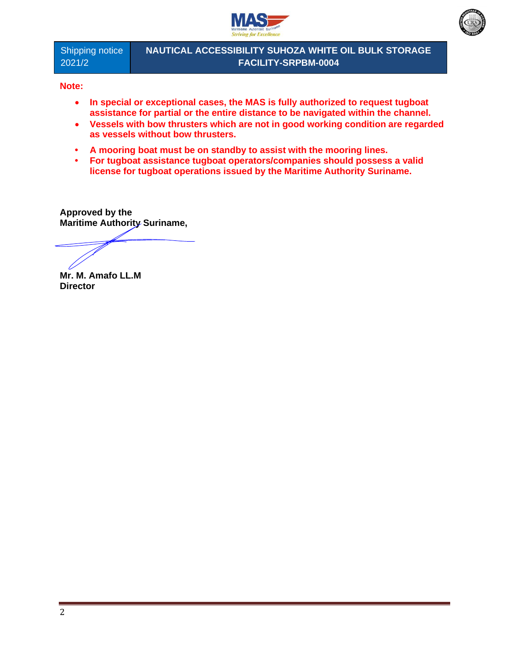



Shipping notice 2021/2

**NAUTICAL ACCESSIBILITY SUHOZA WHITE OIL BULK STORAGE FACILITY-SRPBM-0004**

**Note:** 

- **In special or exceptional cases, the MAS is fully authorized to request tugboat assistance for partial or the entire distance to be navigated within the channel.**
- **Vessels with bow thrusters which are not in good working condition are regarded as vessels without bow thrusters.**
- **• A mooring boat must be on standby to assist with the mooring lines.**
- **• For tugboat assistance tugboat operators/companies should possess a valid license for tugboat operations issued by the Maritime Authority Suriname.**

**Approved by the Maritime Authority Suriname,**

**Mr. M. Amafo LL.M Director**